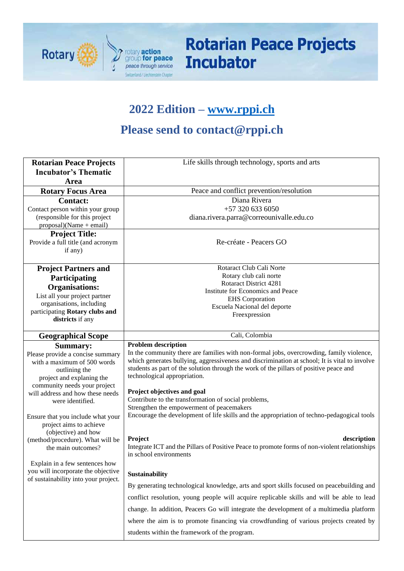

# **Rotarian Peace Projects Incubator**

## **2022 Edition – [www.rppi.ch](http://www.rppi.ch/)**

## **Please send to contact@rppi.ch**

| <b>Rotarian Peace Projects</b><br><b>Incubator's Thematic</b><br>Area                                                                                                                                                                                                                                                                                                                                                                                                                     | Life skills through technology, sports and arts                                                                                                                                                                                                                                                                                                                                                                                                                                                                                                                                                                                                                                                                                                                                                                                                                                                                                                                                                                                                 |
|-------------------------------------------------------------------------------------------------------------------------------------------------------------------------------------------------------------------------------------------------------------------------------------------------------------------------------------------------------------------------------------------------------------------------------------------------------------------------------------------|-------------------------------------------------------------------------------------------------------------------------------------------------------------------------------------------------------------------------------------------------------------------------------------------------------------------------------------------------------------------------------------------------------------------------------------------------------------------------------------------------------------------------------------------------------------------------------------------------------------------------------------------------------------------------------------------------------------------------------------------------------------------------------------------------------------------------------------------------------------------------------------------------------------------------------------------------------------------------------------------------------------------------------------------------|
| <b>Rotary Focus Area</b>                                                                                                                                                                                                                                                                                                                                                                                                                                                                  | Peace and conflict prevention/resolution                                                                                                                                                                                                                                                                                                                                                                                                                                                                                                                                                                                                                                                                                                                                                                                                                                                                                                                                                                                                        |
| <b>Contact:</b><br>Contact person within your group<br>(responsible for this project<br>$proposal)(Name + email)$<br><b>Project Title:</b><br>Provide a full title (and acronym                                                                                                                                                                                                                                                                                                           | Diana Rivera<br>+57 320 633 6050<br>diana.rivera.parra@correounivalle.edu.co<br>Re-créate - Peacers GO                                                                                                                                                                                                                                                                                                                                                                                                                                                                                                                                                                                                                                                                                                                                                                                                                                                                                                                                          |
| if any)<br><b>Project Partners and</b>                                                                                                                                                                                                                                                                                                                                                                                                                                                    | Rotaract Club Cali Norte                                                                                                                                                                                                                                                                                                                                                                                                                                                                                                                                                                                                                                                                                                                                                                                                                                                                                                                                                                                                                        |
| Participating                                                                                                                                                                                                                                                                                                                                                                                                                                                                             | Rotary club cali norte<br><b>Rotaract District 4281</b>                                                                                                                                                                                                                                                                                                                                                                                                                                                                                                                                                                                                                                                                                                                                                                                                                                                                                                                                                                                         |
| <b>Organisations:</b>                                                                                                                                                                                                                                                                                                                                                                                                                                                                     | Institute for Economics and Peace                                                                                                                                                                                                                                                                                                                                                                                                                                                                                                                                                                                                                                                                                                                                                                                                                                                                                                                                                                                                               |
| List all your project partner                                                                                                                                                                                                                                                                                                                                                                                                                                                             | <b>EHS</b> Corporation                                                                                                                                                                                                                                                                                                                                                                                                                                                                                                                                                                                                                                                                                                                                                                                                                                                                                                                                                                                                                          |
| organisations, including<br>participating Rotary clubs and                                                                                                                                                                                                                                                                                                                                                                                                                                | Escuela Nacional del deporte                                                                                                                                                                                                                                                                                                                                                                                                                                                                                                                                                                                                                                                                                                                                                                                                                                                                                                                                                                                                                    |
| districts if any                                                                                                                                                                                                                                                                                                                                                                                                                                                                          | Freexpression                                                                                                                                                                                                                                                                                                                                                                                                                                                                                                                                                                                                                                                                                                                                                                                                                                                                                                                                                                                                                                   |
| <b>Geographical Scope</b>                                                                                                                                                                                                                                                                                                                                                                                                                                                                 | Cali, Colombia                                                                                                                                                                                                                                                                                                                                                                                                                                                                                                                                                                                                                                                                                                                                                                                                                                                                                                                                                                                                                                  |
| <b>Summary:</b><br>Please provide a concise summary<br>with a maximum of 500 words<br>outlining the<br>project and explaning the<br>community needs your project<br>will address and how these needs<br>were identified.<br>Ensure that you include what your<br>project aims to achieve<br>(objective) and how<br>(method/procedure). What will be<br>the main outcomes?<br>Explain in a few sentences how<br>you will incorporate the objective<br>of sustainability into your project. | <b>Problem description</b><br>In the community there are families with non-formal jobs, overcrowding, family violence,<br>which generates bullying, aggressiveness and discrimination at school; It is vital to involve<br>students as part of the solution through the work of the pillars of positive peace and<br>technological appropriation.<br>Project objectives and goal<br>Contribute to the transformation of social problems,<br>Strengthen the empowerment of peacemakers<br>Encourage the development of life skills and the appropriation of techno-pedagogical tools<br>Project<br>description<br>Integrate ICT and the Pillars of Positive Peace to promote forms of non-violent relationships<br>in school environments<br>Sustainability<br>By generating technological knowledge, arts and sport skills focused on peacebuilding and<br>conflict resolution, young people will acquire replicable skills and will be able to lead<br>change. In addition, Peacers Go will integrate the development of a multimedia platform |
|                                                                                                                                                                                                                                                                                                                                                                                                                                                                                           | where the aim is to promote financing via crowdfunding of various projects created by                                                                                                                                                                                                                                                                                                                                                                                                                                                                                                                                                                                                                                                                                                                                                                                                                                                                                                                                                           |
|                                                                                                                                                                                                                                                                                                                                                                                                                                                                                           | students within the framework of the program.                                                                                                                                                                                                                                                                                                                                                                                                                                                                                                                                                                                                                                                                                                                                                                                                                                                                                                                                                                                                   |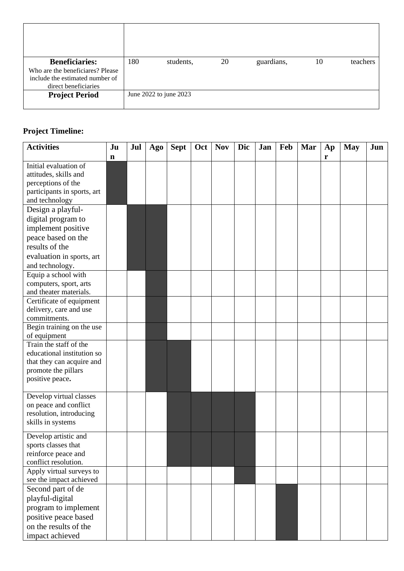| <b>Beneficiaries:</b><br>Who are the beneficiares? Please<br>include the estimated number of<br>direct beneficiaries | 180 | students,              | 20 | guardians, | 10 | teachers |
|----------------------------------------------------------------------------------------------------------------------|-----|------------------------|----|------------|----|----------|
| <b>Project Period</b>                                                                                                |     | June 2022 to june 2023 |    |            |    |          |

#### **Project Timeline:**

| <b>Activities</b>                      | Ju | Jul | Ago | <b>Sept</b> | Oct | <b>Nov</b> | Dic | Jan | Feb | Mar | Ap | <b>May</b> | Jun |
|----------------------------------------|----|-----|-----|-------------|-----|------------|-----|-----|-----|-----|----|------------|-----|
|                                        | n  |     |     |             |     |            |     |     |     |     | r  |            |     |
| Initial evaluation of                  |    |     |     |             |     |            |     |     |     |     |    |            |     |
| attitudes, skills and                  |    |     |     |             |     |            |     |     |     |     |    |            |     |
| perceptions of the                     |    |     |     |             |     |            |     |     |     |     |    |            |     |
| participants in sports, art            |    |     |     |             |     |            |     |     |     |     |    |            |     |
| and technology                         |    |     |     |             |     |            |     |     |     |     |    |            |     |
| Design a playful-                      |    |     |     |             |     |            |     |     |     |     |    |            |     |
| digital program to                     |    |     |     |             |     |            |     |     |     |     |    |            |     |
| implement positive                     |    |     |     |             |     |            |     |     |     |     |    |            |     |
| peace based on the                     |    |     |     |             |     |            |     |     |     |     |    |            |     |
| results of the                         |    |     |     |             |     |            |     |     |     |     |    |            |     |
| evaluation in sports, art              |    |     |     |             |     |            |     |     |     |     |    |            |     |
| and technology.                        |    |     |     |             |     |            |     |     |     |     |    |            |     |
| Equip a school with                    |    |     |     |             |     |            |     |     |     |     |    |            |     |
| computers, sport, arts                 |    |     |     |             |     |            |     |     |     |     |    |            |     |
| and theater materials.                 |    |     |     |             |     |            |     |     |     |     |    |            |     |
| Certificate of equipment               |    |     |     |             |     |            |     |     |     |     |    |            |     |
| delivery, care and use                 |    |     |     |             |     |            |     |     |     |     |    |            |     |
| commitments.                           |    |     |     |             |     |            |     |     |     |     |    |            |     |
| Begin training on the use              |    |     |     |             |     |            |     |     |     |     |    |            |     |
| of equipment<br>Train the staff of the |    |     |     |             |     |            |     |     |     |     |    |            |     |
| educational institution so             |    |     |     |             |     |            |     |     |     |     |    |            |     |
| that they can acquire and              |    |     |     |             |     |            |     |     |     |     |    |            |     |
| promote the pillars                    |    |     |     |             |     |            |     |     |     |     |    |            |     |
| positive peace.                        |    |     |     |             |     |            |     |     |     |     |    |            |     |
|                                        |    |     |     |             |     |            |     |     |     |     |    |            |     |
| Develop virtual classes                |    |     |     |             |     |            |     |     |     |     |    |            |     |
| on peace and conflict                  |    |     |     |             |     |            |     |     |     |     |    |            |     |
| resolution, introducing                |    |     |     |             |     |            |     |     |     |     |    |            |     |
| skills in systems                      |    |     |     |             |     |            |     |     |     |     |    |            |     |
| Develop artistic and                   |    |     |     |             |     |            |     |     |     |     |    |            |     |
| sports classes that                    |    |     |     |             |     |            |     |     |     |     |    |            |     |
| reinforce peace and                    |    |     |     |             |     |            |     |     |     |     |    |            |     |
| conflict resolution.                   |    |     |     |             |     |            |     |     |     |     |    |            |     |
| Apply virtual surveys to               |    |     |     |             |     |            |     |     |     |     |    |            |     |
| see the impact achieved                |    |     |     |             |     |            |     |     |     |     |    |            |     |
| Second part of de                      |    |     |     |             |     |            |     |     |     |     |    |            |     |
| playful-digital                        |    |     |     |             |     |            |     |     |     |     |    |            |     |
| program to implement                   |    |     |     |             |     |            |     |     |     |     |    |            |     |
| positive peace based                   |    |     |     |             |     |            |     |     |     |     |    |            |     |
| on the results of the                  |    |     |     |             |     |            |     |     |     |     |    |            |     |
| impact achieved                        |    |     |     |             |     |            |     |     |     |     |    |            |     |